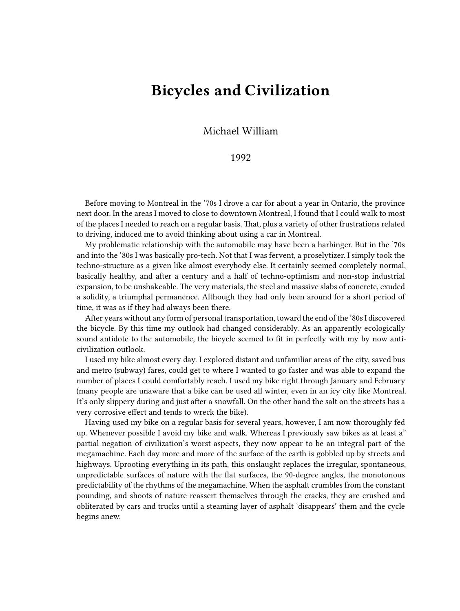## **Bicycles and Civilization**

Michael William

## 1992

Before moving to Montreal in the '70s I drove a car for about a year in Ontario, the province next door. In the areas I moved to close to downtown Montreal, I found that I could walk to most of the places I needed to reach on a regular basis. That, plus a variety of other frustrations related to driving, induced me to avoid thinking about using a car in Montreal.

My problematic relationship with the automobile may have been a harbinger. But in the '70s and into the '80s I was basically pro-tech. Not that I was fervent, a proselytizer. I simply took the techno-structure as a given like almost everybody else. It certainly seemed completely normal, basically healthy, and after a century and a half of techno-optimism and non-stop industrial expansion, to be unshakeable. The very materials, the steel and massive slabs of concrete, exuded a solidity, a triumphal permanence. Although they had only been around for a short period of time, it was as if they had always been there.

After years without any form of personal transportation, toward the end of the '80s I discovered the bicycle. By this time my outlook had changed considerably. As an apparently ecologically sound antidote to the automobile, the bicycle seemed to fit in perfectly with my by now anticivilization outlook.

I used my bike almost every day. I explored distant and unfamiliar areas of the city, saved bus and metro (subway) fares, could get to where I wanted to go faster and was able to expand the number of places I could comfortably reach. I used my bike right through January and February (many people are unaware that a bike can be used all winter, even in an icy city like Montreal. It's only slippery during and just after a snowfall. On the other hand the salt on the streets has a very corrosive effect and tends to wreck the bike).

Having used my bike on a regular basis for several years, however, I am now thoroughly fed up. Whenever possible I avoid my bike and walk. Whereas I previously saw bikes as at least a" partial negation of civilization's worst aspects, they now appear to be an integral part of the megamachine. Each day more and more of the surface of the earth is gobbled up by streets and highways. Uprooting everything in its path, this onslaught replaces the irregular, spontaneous, unpredictable surfaces of nature with the flat surfaces, the 90-degree angles, the monotonous predictability of the rhythms of the megamachine. When the asphalt crumbles from the constant pounding, and shoots of nature reassert themselves through the cracks, they are crushed and obliterated by cars and trucks until a steaming layer of asphalt 'disappears' them and the cycle begins anew.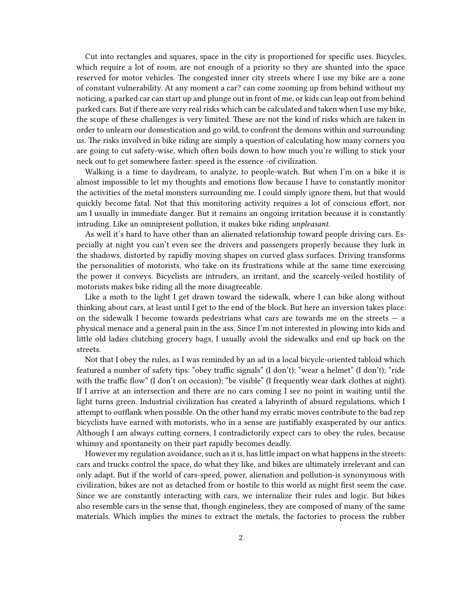Cut into rectangles and squares, space in the city is proportioned for specific uses. Bicycles, which require a lot of room, are not enough of a priority so they are shunted into the space reserved for motor vehicles. The congested inner city streets where I use my bike are a zone of constant vulnerability. At any moment a car? can come zooming up from behind without my noticing, a parked car can start up and plunge out in front of me, or kids can leap out from behind parked cars. But if there are very real risks which can be calculated and taken when I use my bike, the scope of these challenges is very limited. These are not the kind of risks which are taken in order to unlearn our domestication and go wild, to confront the demons within and surrounding us. The risks involved in bike riding are simply a question of calculating how many corners you are going to cut safety-wise, which often boils down to how much you're willing to stick your neck out to get somewhere faster: speed is the essence -of civilization.

Walking is a time to daydream, to analyze, to people-watch. But when I'm on a bike it is almost impossible to let my thoughts and emotions flow because I have to constantly monitor the activities of the metal monsters surrounding me. I could simply ignore them, but that would quickly become fatal. Not that this monitoring activity requires a lot of conscious effort, nor am I usually in immediate danger. But it remains an ongoing irritation because it is constantly intruding. Like an omnipresent pollution, it makes bike riding *unpleasant*.

As well it's hard to have other than an alienated relationship toward people driving cars. Especially at night you can't even see the drivers and passengers properly because they lurk in the shadows, distorted by rapidly moving shapes on curved glass surfaces. Driving transforms the personalities of motorists, who take on its frustrations while at the same time exercising the power it conveys. Bicyclists are intruders, an irritant, and the scarcely-veiled hostility of motorists makes bike riding all the more disagreeable.

Like a moth to the light I get drawn toward the sidewalk, where I can bike along without thinking about cars, at least until I get to the end of the block. But here an inversion takes place: on the sidewalk I become towards pedestrians what cars are towards me on the streets — a physical menace and a general pain in the ass. Since I'm not interested in plowing into kids and little old ladies clutching grocery bags, I usually avoid the sidewalks and end up back on the streets.

Not that I obey the rules, as I was reminded by an ad in a local bicycle-oriented tabloid which featured a number of safety tips: "obey traffic signals" (I don't); "wear a helmet" (I don't); "ride with the traffic flow" (I don't on occasion); "be visible" (I frequently wear dark clothes at night). If I arrive at an intersection and there are no cars coming I see no point in waiting until the light turns green. Industrial civilization has created a labyrinth of absurd regulations, which I attempt to outflank when possible. On the other hand my erratic moves contribute to the bad rep bicyclists have earned with motorists, who in a sense are justifiably exasperated by our antics. Although I am always cutting corners, I contradictorily expect cars to obey the rules, because whimsy and spontaneity on their part rapidly becomes deadly.

However my regulation avoidance, such as it is, has little impact on what happens in the streets: cars and trucks control the space, do what they like, and bikes are ultimately irrelevant and can only adapt. But if the world of cars-speed, power, alienation and pollution-is synonymous with civilization, bikes are not as detached from or hostile to this world as might first seem the case. Since we are constantly interacting with cars, we internalize their rules and logic. But bikes also resemble cars in the sense that, though engineless, they are composed of many of the same materials. Which implies the mines to extract the metals, the factories to process the rubber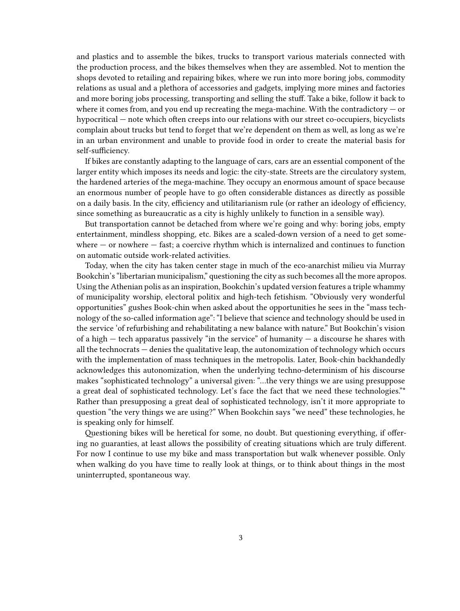and plastics and to assemble the bikes, trucks to transport various materials connected with the production process, and the bikes themselves when they are assembled. Not to mention the shops devoted to retailing and repairing bikes, where we run into more boring jobs, commodity relations as usual and a plethora of accessories and gadgets, implying more mines and factories and more boring jobs processing, transporting and selling the stuff. Take a bike, follow it back to where it comes from, and you end up recreating the mega-machine. With the contradictory  $-$  or hypocritical — note which often creeps into our relations with our street co-occupiers, bicyclists complain about trucks but tend to forget that we're dependent on them as well, as long as we're in an urban environment and unable to provide food in order to create the material basis for self-sufficiency.

If bikes are constantly adapting to the language of cars, cars are an essential component of the larger entity which imposes its needs and logic: the city-state. Streets are the circulatory system, the hardened arteries of the mega-machine. They occupy an enormous amount of space because an enormous number of people have to go often considerable distances as directly as possible on a daily basis. In the city, efficiency and utilitarianism rule (or rather an ideology of efficiency, since something as bureaucratic as a city is highly unlikely to function in a sensible way).

But transportation cannot be detached from where we're going and why: boring jobs, empty entertainment, mindless shopping, etc. Bikes are a scaled-down version of a need to get somewhere  $-$  or nowhere  $-$  fast; a coercive rhythm which is internalized and continues to function on automatic outside work-related activities.

Today, when the city has taken center stage in much of the eco-anarchist milieu via Murray Bookchin's "libertarian municipalism," questioning the city as such becomes all the more apropos. Using the Athenian polis as an inspiration, Bookchin's updated version features a triple whammy of municipality worship, electoral politix and high-tech fetishism. "Obviously very wonderful opportunities" gushes Book-chin when asked about the opportunities he sees in the "mass technology of the so-called information age": "I believe that science and technology should be used in the service 'of refurbishing and rehabilitating a new balance with nature." But Bookchin's vision of a high  $-$  tech apparatus passively "in the service" of humanity  $-$  a discourse he shares with all the technocrats — denies the qualitative leap, the autonomization of technology which occurs with the implementation of mass techniques in the metropolis. Later, Book-chin backhandedly acknowledges this autonomization, when the underlying techno-determinism of his discourse makes "sophisticated technology" a universal given: "…the very things we are using presuppose a great deal of sophisticated technology. Let's face the fact that we need these technologies."\* Rather than presupposing a great deal of sophisticated technology, isn't it more appropriate to question "the very things we are using?" When Bookchin says "we need" these technologies, he is speaking only for himself.

Questioning bikes will be heretical for some, no doubt. But questioning everything, if offering no guaranties, at least allows the possibility of creating situations which are truly different. For now I continue to use my bike and mass transportation but walk whenever possible. Only when walking do you have time to really look at things, or to think about things in the most uninterrupted, spontaneous way.